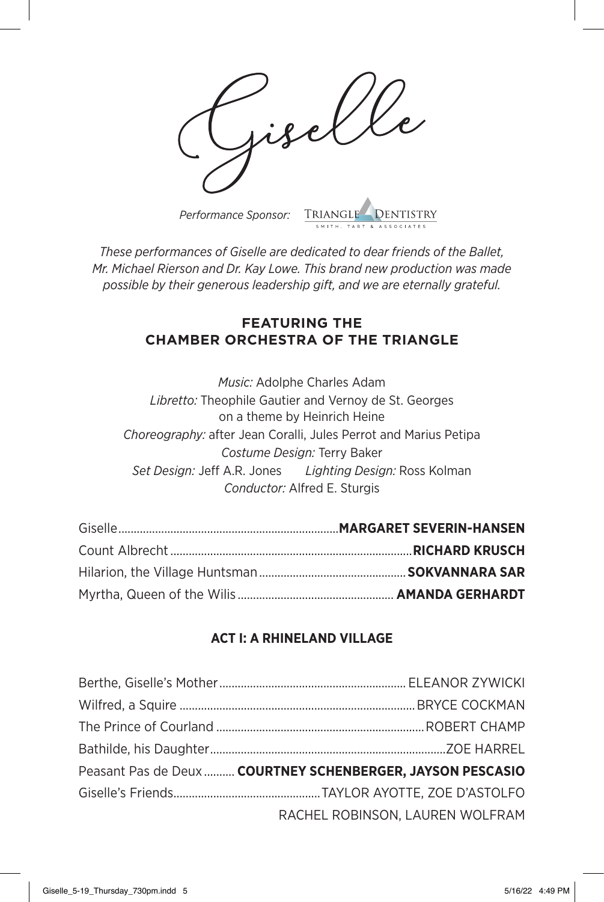*Performance Sponsor:* TRIANGLE

*These performances of Giselle are dedicated to dear friends of the Ballet, Mr. Michael Rierson and Dr. Kay Lowe. This brand new production was made possible by their generous leadership gift, and we are eternally grateful.*

## **FEATURING THE CHAMBER ORCHESTRA OF THE TRIANGLE**

*Music:* Adolphe Charles Adam *Libretto:* Theophile Gautier and Vernoy de St. Georges on a theme by Heinrich Heine *Choreography:* after Jean Coralli, Jules Perrot and Marius Petipa *Costume Design:* Terry Baker *Set Design:* Jeff A.R. Jones *Lighting Design:* Ross Kolman *Conductor:* Alfred E. Sturgis

## **ACT I: A RHINELAND VILLAGE**

| Peasant Pas de Deux COURTNEY SCHENBERGER, JAYSON PESCASIO |
|-----------------------------------------------------------|
|                                                           |
| RACHEL ROBINSON, LAUREN WOLFRAM                           |